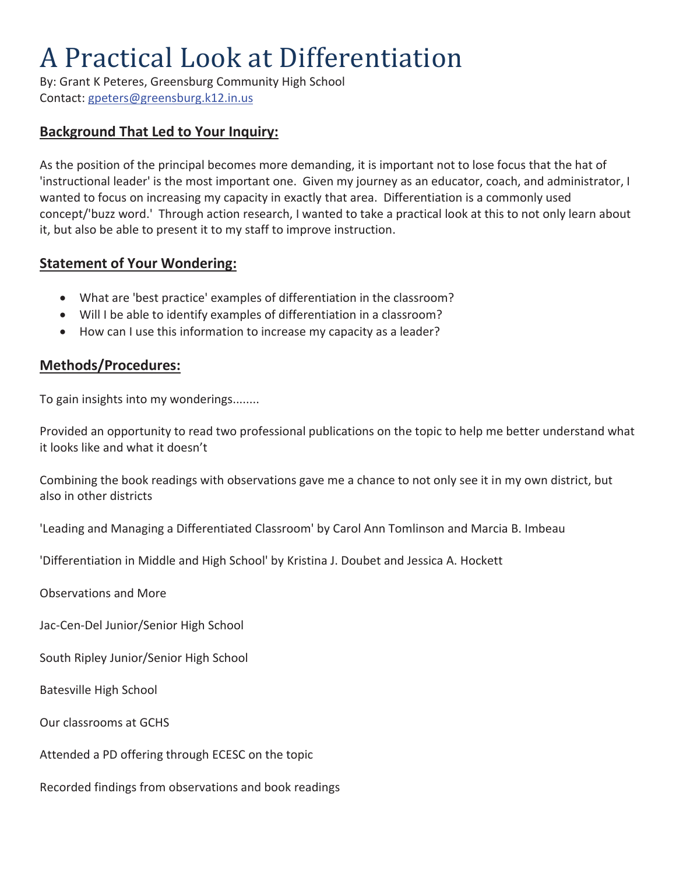# A Practical Look at Differentiation

By: Grant K Peteres, Greensburg Community High School Contact: gpeters@greensburg.k12.in.us

#### **Background That Led to Your Inquiry:**

As the position of the principal becomes more demanding, it is important not to lose focus that the hat of 'instructional leader' is the most important one. Given my journey as an educator, coach, and administrator, I wanted to focus on increasing my capacity in exactly that area. Differentiation is a commonly used concept/'buzz word.' Through action research, I wanted to take a practical look at this to not only learn about it, but also be able to present it to my staff to improve instruction.

#### **Statement of Your Wondering:**

- What are 'best practice' examples of differentiation in the classroom?
- Will I be able to identify examples of differentiation in a classroom?
- How can I use this information to increase my capacity as a leader?

### **Methods/Procedures:**

To gain insights into my wonderings........

Provided an opportunity to read two professional publications on the topic to help me better understand what it looks like and what it doesn't

Combining the book readings with observations gave me a chance to not only see it in my own district, but also in other districts

'Leading and Managing a Differentiated Classroom' by Carol Ann Tomlinson and Marcia B. Imbeau

'Differentiation in Middle and High School' by Kristina J. Doubet and Jessica A. Hockett

Observations and More

Jac-Cen-Del Junior/Senior High School

South Ripley Junior/Senior High School

Batesville High School

Our classrooms at GCHS

Attended a PD offering through ECESC on the topic

Recorded findings from observations and book readings